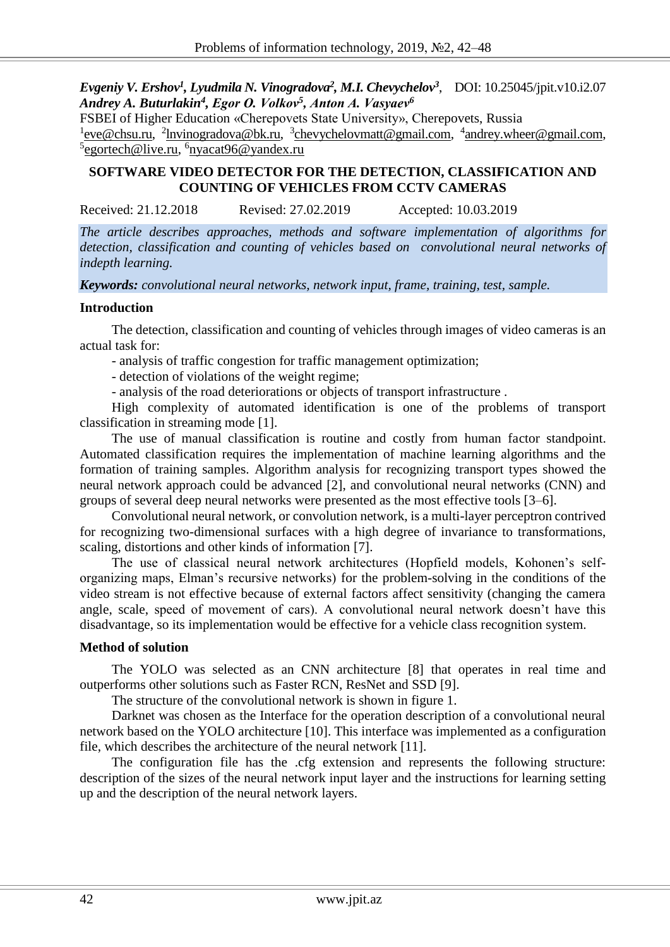*Evgeniy V. Ershov<sup>1</sup> , Lyudmila N. Vinogradova<sup>2</sup> , M.I. Chevychelov<sup>3</sup>* , DOI: 10.25045/jpit.v10.i2.07 *Andrey A. Buturlakin<sup>4</sup> , Еgor О. Volkov<sup>5</sup> , Аnton А. Vasyaev<sup>6</sup>*

FSBEI of Higher Education «Cherepovets State University», Cherepovets, Russia <sup>1</sup> eve@chsu.ru, <sup>2</sup> lnvinogradova@bk.ru, <sup>3</sup> chevychelovmatt@gmail.com, <sup>4</sup> andrey.wheer@gmail.com, <sup>5</sup>[egortech@live.ru,](mailto:egortech@live.ru) <sup>6</sup>[nyacat96@yandex.ru](mailto:nyacat96@yandex.ru)

# **SOFTWARE VIDEO DETECTOR FOR THE DETECTION, CLASSIFICATION AND COUNTING OF VEHICLES FROM CCTV CAMERAS**

Received: 21.12.2018 Revised: 27.02.2019 Accepted: 10.03.2019

*The article describes approaches, methods and software implementation of algorithms for detection, classification and counting of vehicles based on convolutional neural networks of indepth learning.*

*Keywords: convolutional neural networks, network input, frame, training, test, sample.*

### **Introduction**

The detection, classification and counting of vehicles through images of video cameras is an actual task for:

- analysis of traffic congestion for traffic management optimization;

- detection of violations of the weight regime;

- analysis of the road deteriorations or objects of transport infrastructure .

High complexity of automated identification is one of the problems of transport classification in streaming mode [1].

The use of manual classification is routine and costly from human factor standpoint. Automated classification requires the implementation of machine learning algorithms and the formation of training samples. Algorithm analysis for recognizing transport types showed the neural network approach could be advanced [2], and convolutional neural networks (CNN) and groups of several deep neural networks were presented as the most effective tools [3–6].

Convolutional neural network, or convolution network, is a multi-layer perceptron contrived for recognizing two-dimensional surfaces with a high degree of invariance to transformations, scaling, distortions and other kinds of information [7].

The use of classical neural network architectures (Hopfield models, Kohonen's selforganizing maps, Elman's recursive networks) for the problem-solving in the conditions of the video stream is not effective because of external factors affect sensitivity (changing the camera angle, scale, speed of movement of cars). A convolutional neural network doesn't have this disadvantage, so its implementation would be effective for a vehicle class recognition system.

## **Method of solution**

The YOLO was selected as an CNN architecture [8] that operates in real time and outperforms other solutions such as Faster RCN, ResNet and SSD [9].

The structure of the convolutional network is shown in figure 1.

Darknet was chosen as the Interface for the operation description of a convolutional neural network based on the YOLO architecture [10]. This interface was implemented as a configuration file, which describes the architecture of the neural network [11].

The configuration file has the .cfg extension and represents the following structure: description of the sizes of the neural network input layer and the instructions for learning setting up and the description of the neural network layers.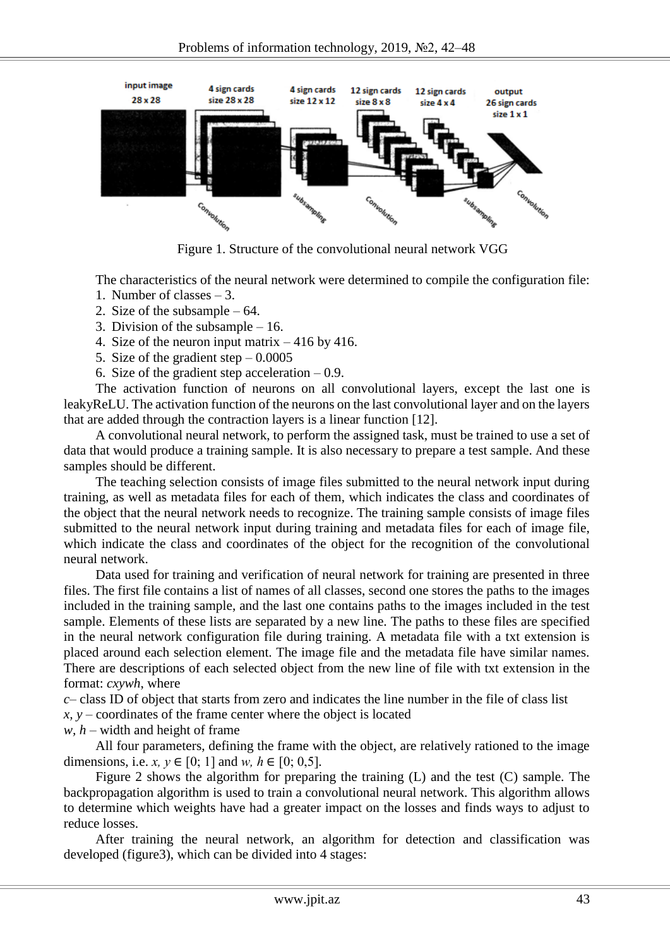

Figure 1. Structure of the convolutional neural network VGG

The characteristics of the neural network were determined to compile the configuration file:

- 1. Number of classes 3.
- 2. Size of the subsample 64.
- 3. Division of the subsample 16.
- 4. Size of the neuron input matrix 416 by 416.
- 5. Size of the gradient step  $-0.0005$
- 6. Size of the gradient step acceleration  $-0.9$ .

The activation function of neurons on all convolutional layers, except the last one is leakyReLU. The activation function of the neurons on the last convolutional layer and on the layers that are added through the contraction layers is a linear function [12].

A convolutional neural network, to perform the assigned task, must be trained to use a set of data that would produce a training sample. It is also necessary to prepare a test sample. And these samples should be different.

The teaching selection consists of image files submitted to the neural network input during training, as well as metadata files for each of them, which indicates the class and coordinates of the object that the neural network needs to recognize. The training sample consists of image files submitted to the neural network input during training and metadata files for each of image file, which indicate the class and coordinates of the object for the recognition of the convolutional neural network.

Data used for training and verification of neural network for training are presented in three files. The first file contains a list of names of all classes, second one stores the paths to the images included in the training sample, and the last one contains paths to the images included in the test sample. Elements of these lists are separated by a new line. The paths to these files are specified in the neural network configuration file during training. A metadata file with a txt extension is placed around each selection element. The image file and the metadata file have similar names. There are descriptions of each selected object from the new line of file with txt extension in the format: *cxywh*, where

*c–* class ID of object that starts from zero and indicates the line number in the file of class list *x, y –* coordinates of the frame center where the object is located

*w, h –* width and height of frame

All four parameters, defining the frame with the object, are relatively rationed to the image dimensions, i.e. *x*,  $y \in [0; 1]$  and *w*,  $h \in [0; 0.5]$ .

Figure 2 shows the algorithm for preparing the training (L) and the test (C) sample. The backpropagation algorithm is used to train a convolutional neural network. This algorithm allows to determine which weights have had a greater impact on the losses and finds ways to adjust to reduce losses.

After training the neural network, an algorithm for detection and classification was developed (figure3), which can be divided into 4 stages: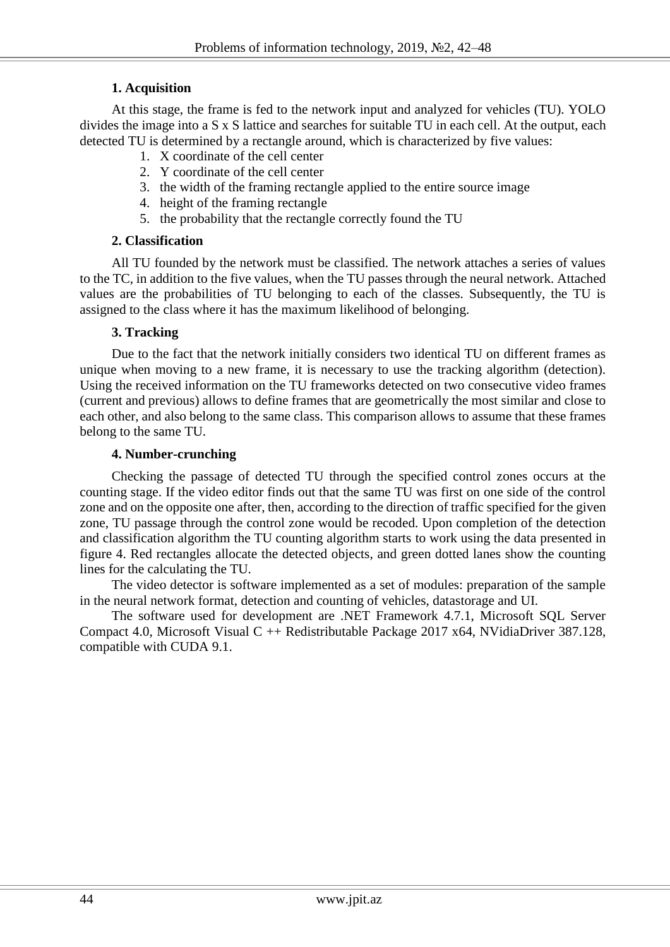## **1. Acquisition**

At this stage, the frame is fed to the network input and analyzed for vehicles (TU). YOLO divides the image into a S x S lattice and searches for suitable TU in each cell. At the output, each detected TU is determined by a rectangle around, which is characterized by five values:

- 1. X coordinate of the cell center
- 2. Y coordinate of the cell center
- 3. the width of the framing rectangle applied to the entire source image
- 4. height of the framing rectangle
- 5. the probability that the rectangle correctly found the TU

## **2. Classification**

All TU founded by the network must be classified. The network attaches a series of values to the TC, in addition to the five values, when the TU passes through the neural network. Attached values are the probabilities of TU belonging to each of the classes. Subsequently, the TU is assigned to the class where it has the maximum likelihood of belonging.

### **3. Tracking**

Due to the fact that the network initially considers two identical TU on different frames as unique when moving to a new frame, it is necessary to use the tracking algorithm (detection). Using the received information on the TU frameworks detected on two consecutive video frames (current and previous) allows to define frames that are geometrically the most similar and close to each other, and also belong to the same class. This comparison allows to assume that these frames belong to the same TU.

#### **4. Number-crunching**

Checking the passage of detected TU through the specified control zones occurs at the counting stage. If the video editor finds out that the same TU was first on one side of the control zone and on the opposite one after, then, according to the direction of traffic specified for the given zone, TU passage through the control zone would be recoded. Upon completion of the detection and classification algorithm the TU counting algorithm starts to work using the data presented in figure 4. Red rectangles allocate the detected objects, and green dotted lanes show the counting lines for the calculating the TU.

The video detector is software implemented as a set of modules: preparation of the sample in the neural network format, detection and counting of vehicles, datastorage and UI.

The software used for development are .NET Framework 4.7.1, Microsoft SQL Server Compact 4.0, Microsoft Visual C ++ Redistributable Package 2017 x64, NVidiaDriver 387.128, compatible with CUDA 9.1.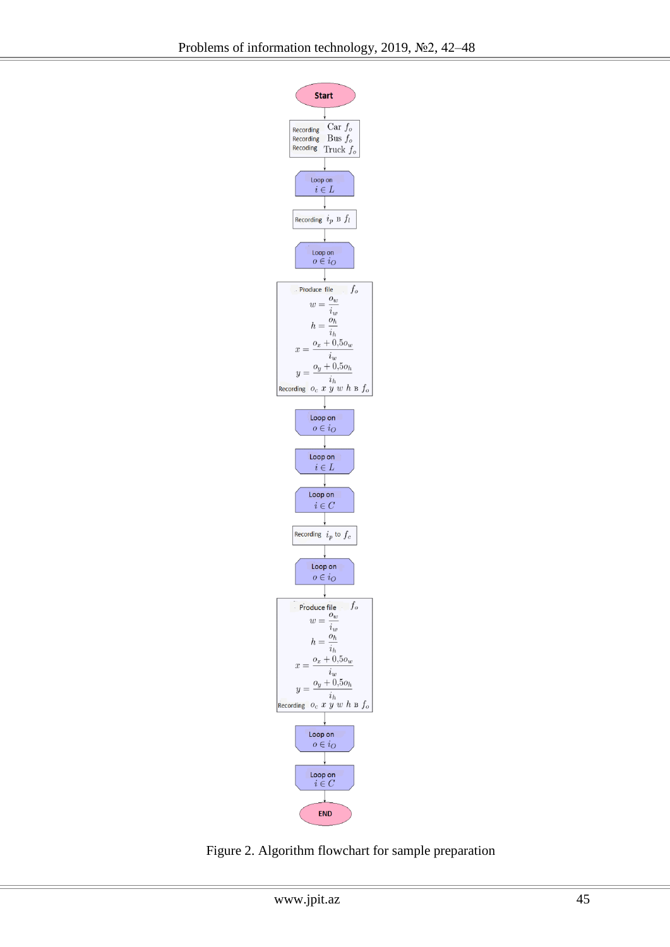

Figure 2. Algorithm flowchart for sample preparation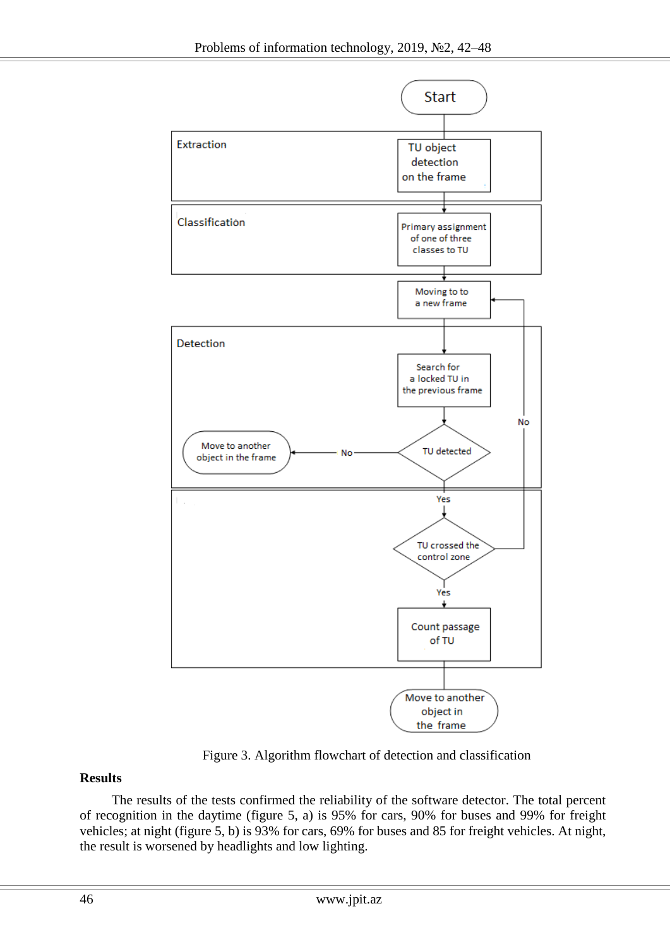

Figure 3. Algorithm flowchart of detection and classification

# **Results**

The results of the tests confirmed the reliability of the software detector. The total percent of recognition in the daytime (figure 5, a) is 95% for cars, 90% for buses and 99% for freight vehicles; at night (figure 5, b) is 93% for cars, 69% for buses and 85 for freight vehicles. At night, the result is worsened by headlights and low lighting.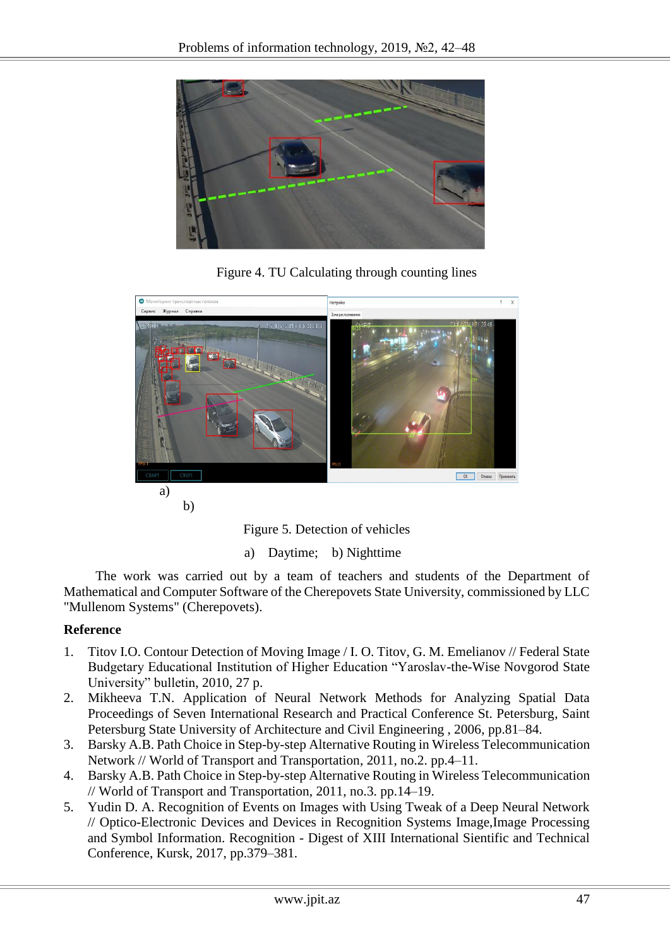

Figure 4. TU Calculating through counting lines



b)

Figure 5. Detection of vehicles

a) Daytime; b) Nighttime

The work was carried out by a team of teachers and students of the Department of Mathematical and Computer Software of the Cherepovets State University, commissioned by LLC "Mullenom Systems" (Cherepovets).

# **Reference**

- 1. Titov I.O. Contour Detection of Moving Image / I. O. Titov, G. M. Emelianov // Federal State Budgetary Educational Institution of Higher Education "Yaroslav-the-Wise Novgorod State University" bulletin, 2010, 27 p.
- 2. Mikheeva T.N. Application of Neural Network Methods for Analyzing Spatial Data Proceedings of Seven International Research and Practical Conference St. Petersburg, Saint Petersburg State University of Architecture and Civil Engineering , 2006, pp.81–84.
- 3. Barsky A.B. Path Choice in Step-by-step Alternative Routing in Wireless Telecommunication Network // World of Transport and Transportation, 2011, no.2. pp.4–11.
- 4. Barsky A.B. Path Choice in Step-by-step Alternative Routing in Wireless Telecommunication // World of Transport and Transportation, 2011, no.3. pp.14–19.
- 5. Yudin D. A. Recognition of Events on Images with Using Tweak of a Deep Neural Network // Optico-Electronic Devices and Devices in Recognition Systems Image,Image Processing and Symbol Information. Recognition - Digest of XIII International Sientific and Technical Conference, Kursk, 2017, pp.379–381.